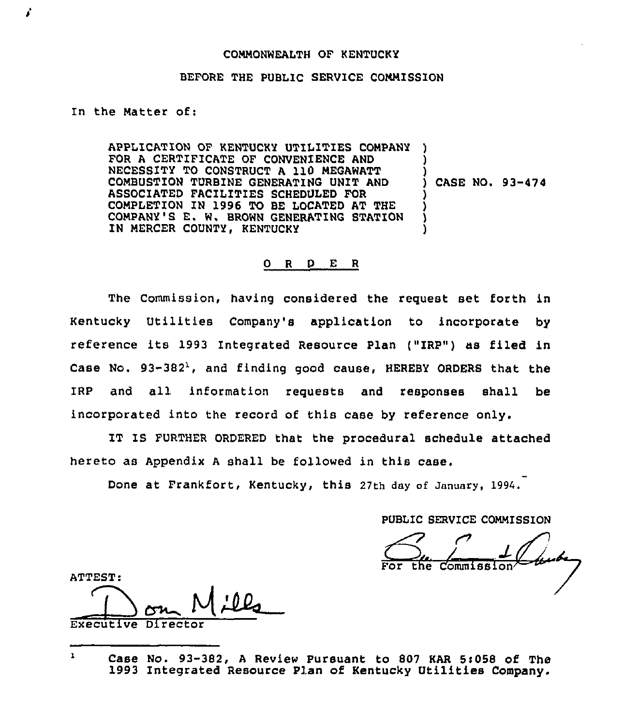### CONNONWEALTH OF KENTUCKY

### BEFORE THE PUBLIC SERVICE CONNISSION

In the Natter of:

APPLICATION OF KENTUCKY UTILITIES COMPANY FOR A CERTIFICATE OF CONVENIENCE AND NECESSITY TO CONSTRUCT <sup>A</sup> 110 MEGAWATT COMBUSTION TURBINE GENERATING UNIT AND ASSOCIATED FACILITIES SCHEDULED FOR COMPLETION IN 1996 TO BE LOCATED AT THE CONPANY'S E. W. BROWN GENERATING STATION IN MERCER COUNTY, KENTUCKY ) ) ) ) CASE NO. 93-474 ) ) ) )

### 0 R <sup>D</sup> E R

The Commission, having considered the request set forth in Kentucky Utilities Company's application to incorporate by reference its 1993 Integrated Resource Plan ("IRP") as filed in Case No.  $93-382^{\lambda}$ , and finding good cause, HEREBY ORDERS that the IRp and all information requests and responses shall be incorporated into the record of this case by reference only.

IT IS FURTHER ORDERED that the procedural schedule attached hereto as Appendix <sup>A</sup> shall be followed in this case.

Done at Frankfort, Kentucky, this 27th day of January, 1994.

PUBLIC SERVICE COMMISSION

For the Commiss

ATTEST:

— Executive Dire

 $\mathbf{r}$ Case No. 93-382, <sup>A</sup> Review Pursuant to 807 KAR Si058 of The 1993 Integrated Resource Plan of Kentucky Utilities Company.